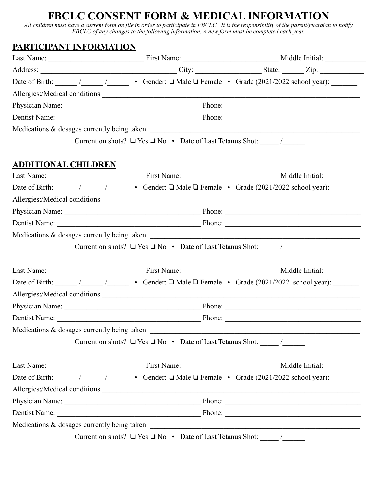# **FBCLC CONSENT FORM & MEDICAL INFORMATION**

*All children must have a current form on file in order to participate in FBCLC. It is the responsibility of the parent/guardian to notify FBCLC of any changes to the following information. A new form must be completed each year.*

# **PARTICIPANT INFORMATION**

|                            |                                                                                                                                                                                                                                     |                                              | Date of Birth: $\frac{1}{\sqrt{2}}$ / Gender: $\Box$ Male $\Box$ Female • Grade (2021/2022 school year):                                                                                                                                                                                                                                                                                                              |  |  |  |
|----------------------------|-------------------------------------------------------------------------------------------------------------------------------------------------------------------------------------------------------------------------------------|----------------------------------------------|-----------------------------------------------------------------------------------------------------------------------------------------------------------------------------------------------------------------------------------------------------------------------------------------------------------------------------------------------------------------------------------------------------------------------|--|--|--|
|                            |                                                                                                                                                                                                                                     |                                              | Allergies:/Medical conditions                                                                                                                                                                                                                                                                                                                                                                                         |  |  |  |
|                            |                                                                                                                                                                                                                                     |                                              |                                                                                                                                                                                                                                                                                                                                                                                                                       |  |  |  |
|                            |                                                                                                                                                                                                                                     |                                              |                                                                                                                                                                                                                                                                                                                                                                                                                       |  |  |  |
|                            |                                                                                                                                                                                                                                     |                                              |                                                                                                                                                                                                                                                                                                                                                                                                                       |  |  |  |
|                            |                                                                                                                                                                                                                                     |                                              |                                                                                                                                                                                                                                                                                                                                                                                                                       |  |  |  |
| <b>ADDITIONAL CHILDREN</b> |                                                                                                                                                                                                                                     |                                              |                                                                                                                                                                                                                                                                                                                                                                                                                       |  |  |  |
|                            |                                                                                                                                                                                                                                     |                                              |                                                                                                                                                                                                                                                                                                                                                                                                                       |  |  |  |
|                            |                                                                                                                                                                                                                                     |                                              | Date of Birth: $\frac{1}{\sqrt{1-\frac{1}{\sqrt{1-\frac{1}{\sqrt{1-\frac{1}{\sqrt{1-\frac{1}{\sqrt{1-\frac{1}{\sqrt{1-\frac{1}{\sqrt{1-\frac{1}{\sqrt{1-\frac{1}{\sqrt{1-\frac{1}{\sqrt{1-\frac{1}{\sqrt{1-\frac{1}{\sqrt{1-\frac{1}{\sqrt{1-\frac{1}{\sqrt{1-\frac{1}{\sqrt{1-\frac{1}{\sqrt{1-\frac{1}{\sqrt{1-\frac{1}{\sqrt{1-\frac{1}{\sqrt{1-\frac{1}{\sqrt{1-\frac{1}{\sqrt{1-\frac{1}{\sqrt{1-\frac{1}{\sqrt$ |  |  |  |
|                            |                                                                                                                                                                                                                                     | Allergies:/Medical conditions                |                                                                                                                                                                                                                                                                                                                                                                                                                       |  |  |  |
|                            |                                                                                                                                                                                                                                     |                                              |                                                                                                                                                                                                                                                                                                                                                                                                                       |  |  |  |
|                            |                                                                                                                                                                                                                                     |                                              |                                                                                                                                                                                                                                                                                                                                                                                                                       |  |  |  |
|                            |                                                                                                                                                                                                                                     |                                              |                                                                                                                                                                                                                                                                                                                                                                                                                       |  |  |  |
|                            |                                                                                                                                                                                                                                     |                                              |                                                                                                                                                                                                                                                                                                                                                                                                                       |  |  |  |
|                            |                                                                                                                                                                                                                                     |                                              |                                                                                                                                                                                                                                                                                                                                                                                                                       |  |  |  |
|                            |                                                                                                                                                                                                                                     |                                              |                                                                                                                                                                                                                                                                                                                                                                                                                       |  |  |  |
|                            |                                                                                                                                                                                                                                     |                                              |                                                                                                                                                                                                                                                                                                                                                                                                                       |  |  |  |
|                            |                                                                                                                                                                                                                                     |                                              |                                                                                                                                                                                                                                                                                                                                                                                                                       |  |  |  |
|                            |                                                                                                                                                                                                                                     |                                              |                                                                                                                                                                                                                                                                                                                                                                                                                       |  |  |  |
|                            |                                                                                                                                                                                                                                     |                                              |                                                                                                                                                                                                                                                                                                                                                                                                                       |  |  |  |
|                            |                                                                                                                                                                                                                                     | Medications & dosages currently being taken: | <u> 1989 - Johann Stoff, fransk konge og det forskellige og det forskellige og det forskellige og det forskellige</u>                                                                                                                                                                                                                                                                                                 |  |  |  |
|                            |                                                                                                                                                                                                                                     |                                              |                                                                                                                                                                                                                                                                                                                                                                                                                       |  |  |  |
|                            |                                                                                                                                                                                                                                     |                                              |                                                                                                                                                                                                                                                                                                                                                                                                                       |  |  |  |
|                            |                                                                                                                                                                                                                                     |                                              | Date of Birth: $\frac{1}{\sqrt{2}}$ / Gender: $\Box$ Male $\Box$ Female • Grade (2021/2022 school year):                                                                                                                                                                                                                                                                                                              |  |  |  |
|                            |                                                                                                                                                                                                                                     |                                              | Allergies:/Medical conditions                                                                                                                                                                                                                                                                                                                                                                                         |  |  |  |
|                            |                                                                                                                                                                                                                                     |                                              |                                                                                                                                                                                                                                                                                                                                                                                                                       |  |  |  |
|                            | Dentist Name: <u>New York: Phone:</u> Phone: Name: Name: Name: Name: Name: Name: Name: Name: Name: Name: Name: Name: Name: Name: Name: Name: Name: Name: Name: Name: Name: Name: Name: Name: Name: Name: Name: Name: Name: Name: Na |                                              |                                                                                                                                                                                                                                                                                                                                                                                                                       |  |  |  |
|                            |                                                                                                                                                                                                                                     |                                              |                                                                                                                                                                                                                                                                                                                                                                                                                       |  |  |  |
|                            |                                                                                                                                                                                                                                     |                                              |                                                                                                                                                                                                                                                                                                                                                                                                                       |  |  |  |